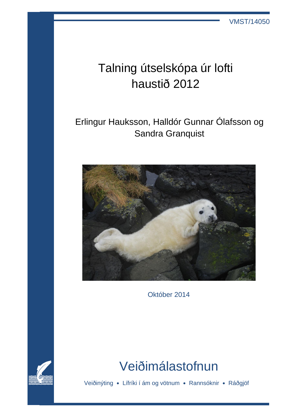VMST/14050

# Talning útselskópa úr lofti haustið 2012

# Erlingur Hauksson, Halldór Gunnar Ólafsson og Sandra Granquist



Október 2014



# Veiðimálastofnun

Veiðinýting **•** Lífríki í ám og vötnum **•** Rannsóknir **•** Ráðgjöf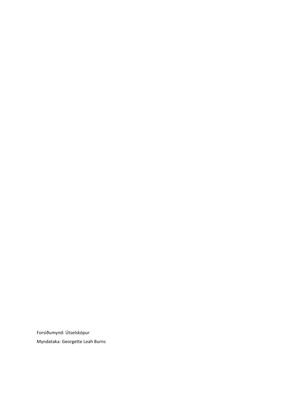Forsíðumynd: Útselskópur Myndataka: Georgette Leah Burns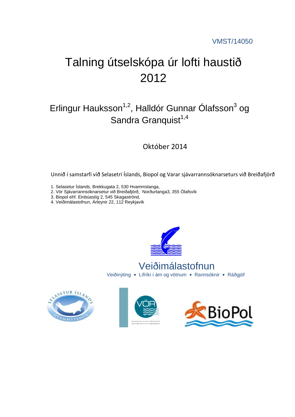# Talning útselskópa úr lofti haustið 2012

# Erlingur Hauksson<sup>1,2</sup>, Halldór Gunnar Ólafsson<sup>3</sup> og Sandra Granquist $1,4$

Október 2014

Unnið í samstarfi við Selasetri Íslands, Biopol og Varar sjávarrannsóknarseturs við Breiðafjörð

- 1. Selasetur Íslands, Brekkugata 2, 530 Hvammstanga,
- 2. Vör Sjávarrannsóknarsetur við Breiðafjörð, Norðurtanga3, 355 Ólafsvík
- 3. Biopol ehf. Einbúastíg 2, 545 Skagaströnd,
- 4. Veiðimálastofnun, Árleynir 22, 112 Reykjavík



Veiðinýting **•** Lífríki í ám og vötnum **•** Rannsóknir **•** Ráðgjöf Veiðimálastofnun





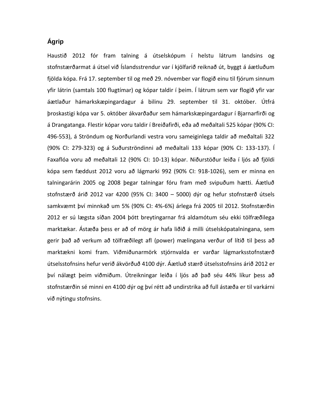### **Ágrip**

Haustið 2012 fór fram talning á útselskópum í helstu látrum landsins og stofnstærðarmat á útsel við Íslandsstrendur var í kjölfarið reiknað út, byggt á áætluðum fjölda kópa. Frá 17. september til og með 29. nóvember var flogið einu til fjórum sinnum yfir látrin (samtals 100 flugtímar) og kópar taldir í þeim. Í látrum sem var flogið yfir var áætlaður hámarkskæpingardagur á bilinu 29. september til 31. október. Útfrá þroskastigi kópa var 5. október ákvarðaður sem hámarkskæpingardagur í Bjarnarfirði og á Drangatanga. Flestir kópar voru taldir í Breiðafirði, eða að meðaltali 525 kópar (90% CI: 496-553), á Ströndum og Norðurlandi vestra voru sameiginlega taldir að meðaltali 322 (90% CI: 279-323) og á Suðurströndinni að meðaltali 133 kópar (90% CI: 133-137). Í Faxaflóa voru að meðaltali 12 (90% CI: 10-13) kópar. Niðurstöður leiða í ljós að fjöldi kópa sem fæddust 2012 voru að lágmarki 992 (90% CI: 918-1026), sem er minna en talningarárin 2005 og 2008 þegar talningar fóru fram með svipuðum hætti. Áætluð stofnstærð árið 2012 var 4200 (95% CI: 3400 – 5000) dýr og hefur stofnstærð útsels samkvæmt því minnkað um 5% (90% CI: 4%-6%) árlega frá 2005 til 2012. Stofnstærðin 2012 er sú lægsta síðan 2004 þótt breytingarnar frá aldamótum séu ekki tölfræðilega marktækar. Ástæða þess er að of mörg ár hafa liðið á milli útselskópatalningana, sem gerir það að verkum að tölfræðilegt afl (power) mælingana verður of lítið til þess að marktækni komi fram. Viðmiðunarmörk stjórnvalda er varðar lágmarksstofnstærð útselsstofnsins hefur verið ákvörðuð 4100 dýr. Áætluð stærð útselsstofnsins árið 2012 er því nálægt þeim viðmiðum. Útreikningar leiða í ljós að það séu 44% líkur þess að stofnstærðin sé minni en 4100 dýr og því rétt að undirstrika að full ástæða er til varkárni við nýtingu stofnsins.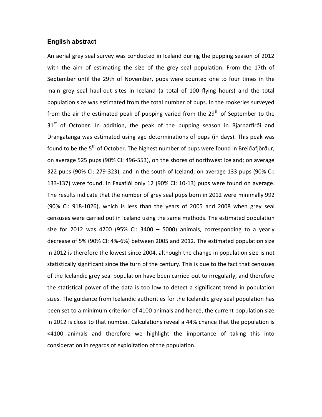#### **English abstract**

An aerial grey seal survey was conducted in Iceland during the pupping season of 2012 with the aim of estimating the size of the grey seal population. From the 17th of September until the 29th of November, pups were counted one to four times in the main grey seal haul-out sites in Iceland (a total of 100 flying hours) and the total population size was estimated from the total number of pups. In the rookeries surveyed from the air the estimated peak of pupping varied from the  $29<sup>th</sup>$  of September to the  $31<sup>st</sup>$  of October. In addition, the peak of the pupping season in Bjarnarfirði and Drangatanga was estimated using age determinations of pups (in days). This peak was found to be the  $5<sup>th</sup>$  of October. The highest number of pups were found in Breiðafjörður; on average 525 pups (90% CI: 496-553), on the shores of northwest Iceland; on average 322 pups (90% CI: 279-323), and in the south of Iceland; on average 133 pups (90% CI: 133-137) were found. In Faxaflói only 12 (90% CI: 10-13) pups were found on average. The results indicate that the number of grey seal pups born in 2012 were minimally 992 (90% CI: 918-1026), which is less than the years of 2005 and 2008 when grey seal censuses were carried out in Iceland using the same methods. The estimated population size for 2012 was 4200 (95% CI: 3400  $-$  5000) animals, corresponding to a yearly decrease of 5% (90% CI: 4%-6%) between 2005 and 2012. The estimated population size in 2012 is therefore the lowest since 2004, although the change in population size is not statistically significant since the turn of the century. This is due to the fact that censuses of the Icelandic grey seal population have been carried out to irregularly, and therefore the statistical power of the data is too low to detect a significant trend in population sizes. The guidance from Icelandic authorities for the Icelandic grey seal population has been set to a minimum criterion of 4100 animals and hence, the current population size in 2012 is close to that number. Calculations reveal a 44% chance that the population is <4100 animals and therefore we highlight the importance of taking this into consideration in regards of exploitation of the population.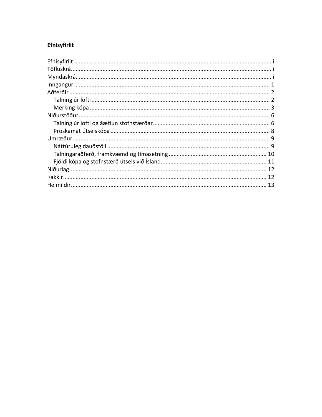## Efnisyfirlit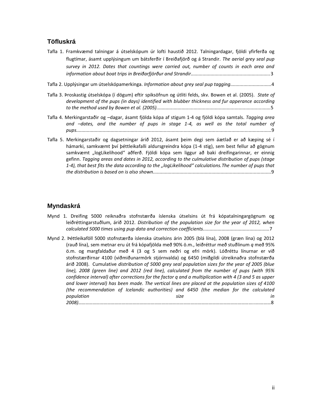### **Töfluskrá**

- Tafla 1. Framkvæmd talningar á útselskópum úr lofti haustið 2012. Talningardagar, fjöldi yfirferða og flugtímar, ásamt upplýsingum um bátsferðir í Breiðafjörð og á Strandir. *The aerial grey seal pup survey in 2012. Dates that countings were carried out, number of counts in each area and information about boat trips in Breiðarfjörður and Strandir............................................................*3
- Tafla 2. Upplýsingar um útselskópamerkinga. *Information about grey seal pup tagging...............................*4
- Tafla 3. Þroskastig útselskópa (í dögum) eftir spiksöfnun og útliti felds, skv. Bowen et al. (2005). *State of development of the pups (in days) identified with blubber thickness and fur apperance according to the method used by Bowen et al. (2005)......................................................................................*5
- Tafla 4. Merkingarstaðir og –dagar, ásamt fjölda kópa af stigum 1-4 og fjöldi kópa samtals. *Tagging area and –dates, and the number of pups in stage 1-4, as well as the total number of pups...................................................................................................................................................*9
- Tafla 5. Merkingarstaðir og dagsetningar árið 2012, ásamt þeim degi sem áætlað er að kæping sé í hámarki, samkvæmt því þéttleikafalli aldursgreindra kópa (1-4 stig), sem best fellur að gögnum samkvæmt "logLikelihood" aðferð. Fjöldi kópa sem liggur að baki dreifingarinnar, er einnig gefinn. *Tagging areas and dates in 2012, according to the culmulative distribution of pups (stage 1-4), that best fits the data according to the "logLikelihood" calculations.The number of pups that the distribution is based on is also shown.........................................................................................*9

### **Myndaskrá**

- Mynd 1. Dreifing 5000 reiknaðra stofnstærða íslenska útselsins út frá kópatalningargögnum og leiðréttingarstuðlum, árið 2012. *Distribution of the population size for the year of 2012, when calculated 5000 times using pup data and correction coefficients..................................................*7
- Mynd 2. Þéttleikaföll 5000 stofnstærða íslenska útselsins árin 2005 (blá lína), 2008 (græn lína) og 2012 (rauð lína), sem metnar eru út frá kópafjölda með 90% ö.m., leiðréttur með stuðlinum *q* með 95% ö.m. og margfaldaður með 4 (3 og 5 sem neðri og efri mörk). Lóðréttu línurnar er við stofnstærðirnar 4100 (viðmiðunarmörk stjórnvalda) og 6450 (miðgildi útreiknaðra stofnstærða árið 2008). Cumulative *distribution of 5000 grey seal population sizes for the year of 2005 (blue line), 2008 (green line) and 2012 (red line), calculated from the number of pups (with 95% confidence interval) after corrections for the factor q and a multiplication with 4 (3 and 5 as upper and lower interval) has been made. The vertical lines are placed at the population sizes of 4100 (the recommendation of Icelandic authorities) and 6450 (the median for the calculated population size in 2008)………………………………………………………………………………………………………………………………..….………*8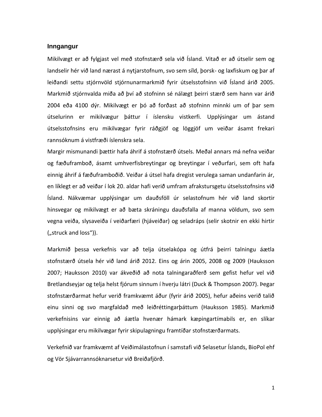#### **Inngangur**

Mikilvægt er að fylgjast vel með stofnstærð sela við Ísland. Vitað er að útselir sem og landselir hér við land nærast á nytjarstofnum, svo sem síld, þorsk- og laxfiskum og þar af leiðandi settu stjórnvöld stjórnunarmarkmið fyrir útselsstofninn við Ísland árið 2005. Markmið stjórnvalda miða að því að stofninn sé nálægt þeirri stærð sem hann var árið 2004 eða 4100 dýr. Mikilvægt er þó að forðast að stofninn minnki um of þar sem útselurinn er mikilvægur þáttur í íslensku vistkerfi. Upplýsingar um ástand útselsstofnsins eru mikilvægar fyrir ráðgjöf og löggjöf um veiðar ásamt frekari rannsóknum á vistfræði íslenskra sela.

Margir mismunandi þættir hafa áhrif á stofnstærð útsels. Meðal annars má nefna veiðar og fæðuframboð, ásamt umhverfisbreytingar og breytingar í veðurfari, sem oft hafa einnig áhrif á fæðuframboðið. Veiðar á útsel hafa dregist verulega saman undanfarin ár, en líklegt er að veiðar í lok 20. aldar hafi verið umfram afrakstursgetu útselsstofnsins við Ísland. Nákvæmar upplýsingar um dauðsföll úr selastofnum hér við land skortir hinsvegar og mikilvægt er að bæta skráningu dauðsfalla af manna völdum, svo sem vegna veiða, slysaveiða í veiðarfæri (hjáveiðar) og seladráps (selir skotnir en ekki hirtir ("struck and loss")).

Markmið þessa verkefnis var að telja útselakópa og útfrá þeirri talningu áætla stofnstærð útsela hér við land árið 2012. Eins og árin 2005, 2008 og 2009 (Hauksson 2007; Hauksson 2010) var ákveðið að nota talningaraðferð sem gefist hefur vel við Bretlandseyjar og telja helst fjórum sinnum í hverju látri (Duck & Thompson 2007). Þegar stofnstærðarmat hefur verið framkvæmt áður (fyrir árið 2005), hefur aðeins verið talið einu sinni og svo margfaldað með leiðréttingarþáttum (Hauksson 1985). Markmið verkefnisins var einnig að áætla hvenær hámark kæpingartímabils er, en slíkar upplýsingar eru mikilvægar fyrir skipulagningu framtíðar stofnstærðarmats.

Verkefnið var framkvæmt af Veiðimálastofnun í samstafi við Selasetur Íslands, BioPol ehf og Vör Sjávarrannsóknarsetur við Breiðafjörð.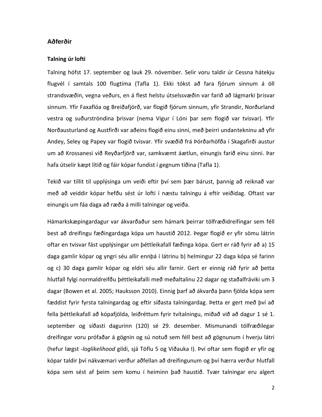#### **Aðferðir**

#### **Talning úr lofti**

Talning hófst 17. september og lauk 29. nóvember. Selir voru taldir úr Cessna hátekju flugvél í samtals 100 flugtíma (Tafla 1). Ekki tókst að fara fjórum sinnum á öll strandsvæðin, vegna veðurs, en á flest helstu útselssvæðin var farið að lágmarki þrisvar sinnum. Yfir Faxaflóa og Breiðafjörð, var flogið fjórum sinnum, yfir Strandir, Norðurland vestra og suðurströndina þrisvar (nema Vigur í Lóni þar sem flogið var tvisvar). Yfir Norðausturland og Austfirði var aðeins flogið einu sinni, með þeirri undantekninu að yfir Andey, Seley og Papey var flogið tvisvar. Yfir svæðið frá Þórðarhöfða í Skagafirði austur um að Krossanesi við Reyðarfjörð var, samkvæmt áætlun, einungis farið einu sinni. Þar hafa útselir kæpt lítið og fáir kópar fundist í gegnum tíðina (Tafla 1).

Tekið var tillit til upplýsinga um veiði eftir því sem þær bárust, þannig að reiknað var með að veiddir kópar hefðu sést úr lofti í næstu talningu á eftir veiðidag. Oftast var einungis um fáa daga að ræða á milli talningar og veiða.

Hámarkskæpingardagur var ákvarðaður sem hámark þeirrar tölfræðidreifingar sem féll best að dreifingu fæðingardaga kópa um haustið 2012. Þegar flogið er yfir sömu látrin oftar en tvisvar fást upplýsingar um þéttleikafall fæðinga kópa. Gert er ráð fyrir að a) 15 daga gamlir kópar og yngri séu allir ennþá í látrinu b) helmingur 22 daga kópa sé farinn og c) 30 daga gamlir kópar og eldri séu allir farnir. Gert er einnig ráð fyrir að þetta hlutfall fylgi normaldreifðu þéttleikafalli með meðaltalinu 22 dagar og staðalfráviki um 3 dagar (Bowen et al. 2005; Hauksson 2010). Einnig þarf að ákvarða þann fjölda kópa sem fæddist fyrir fyrsta talningardag og eftir síðasta talningardag. Þetta er gert með því að fella þéttleikafall að kópafjölda, leiðréttum fyrir tvítalningu, miðað við að dagur 1 sé 1. september og síðasti dagurinn (120) sé 29. desember. Mismunandi tölfræðilegar dreifingar voru prófaðar á gögnin og sú notuð sem féll best að gögnunum í hverju látri (hefur lægst *-loglikelihood* gildi, sjá Töflu 5 og Viðauka I). Því oftar sem flogið er yfir og kópar taldir því nákvæmari verður aðfellan að dreifingunum og því hærra verður hlutfall kópa sem sést af þeim sem komu í heiminn það haustið. Tvær talningar eru algert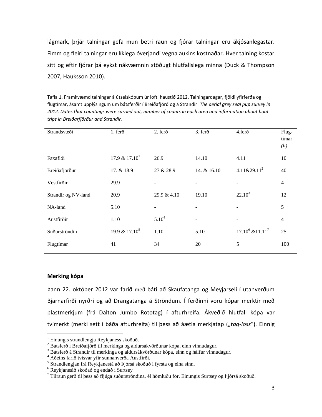lágmark, þrjár talningar gefa mun betri raun og fjórar talningar eru ákjósanlegastar. Fimm og fleiri talningar eru líklega óverjandi vegna aukins kostnaðar. Hver talning kostar sitt og eftir fjórar þá eykst nákvæmnin stöðugt hlutfallslega minna (Duck & Thompson 2007, Hauksson 2010).

Tafla 1. Framkvæmd talningar á útselskópum úr lofti haustið 2012. Talningardagar, fjöldi yfirferða og flugtímar, ásamt upplýsingum um bátsferðir í Breiðafjörð og á Strandir. *The aerial grey seal pup survey in 2012. Dates that countings were carried out, number of counts in each area and information about boat trips in Breiðarfjörður and Strandir.*

| Strandsvæði         | $1.$ fer $\delta$ | 2. ferð                  | 3. ferð                  | 4.ferð                   | Flug-<br>tímar<br>(h) |
|---------------------|-------------------|--------------------------|--------------------------|--------------------------|-----------------------|
| Faxaflói            | $17.9 \& 17.10^1$ | 26.9                     | 14.10                    | 4.11                     | 10                    |
| Breiðafjörður       | 17. & 18.9        | 27 & 28.9                | 14. & 16.10              | $4.11\&29.11^2$          | 40                    |
| Vestfirðir          | 29.9              | $\overline{\phantom{a}}$ | -                        | ۰                        | $\overline{4}$        |
| Strandir og NV-land | 20.9              | 29.9 & 4.10              | 19.10                    | $22.10^3$                | 12                    |
| NA-land             | 5.10              |                          |                          |                          | 5                     |
| Austfirðir          | 1.10              | $5.10^{4}$               | $\overline{\phantom{a}}$ | $\overline{\phantom{0}}$ | $\overline{4}$        |
| Suðurströndin       | 19.9 & $17.10^5$  | 1.10                     | 5.10                     | $17.10^6$ & $11.11^7$    | 25                    |
| Flugtímar           | 41                | 34                       | 20                       | 5                        | 100                   |

#### **Merking kópa**

 $\overline{a}$ 

Þann 22. október 2012 var farið með báti að Skaufatanga og Meyjarseli í utanverðum Bjarnarfirði nyrðri og að Drangatanga á Ströndum. Í ferðinni voru kópar merktir með plastmerkjum (frá Dalton Jumbo Rototag) í afturhreifa. Ákveðið hlutfall kópa var tvímerkt (merki sett í báða afturhreifa) til þess að áætla merkjatap ("tag-loss"). Einnig

 $1$  Einungis strandlengja Reykjaness skoðuð.

 $^{2}$  Bátsferð í Breiðafjörð til merkinga og aldursákvörðunar kópa, einn vinnudagur.

<sup>3</sup> Bátsferð á Strandir til merkinga og aldursákvörðunar kópa, einn og hálfur vinnudagur.

<sup>4</sup> Aðeins farið tvisvar yfir sunnanverða Austfirði.

<sup>5</sup> Strandlengjan frá Reykjanestá að Þjórsá skoðuð í fyrsta og eina sinn.

<sup>6</sup> Reykjanesið skoðað og endað í Surtsey

 $7$  Tilraun gerð til þess að fljúga suðurströndina, él hömluðu för. Einungis Surtsey og Þjórsá skoðuð.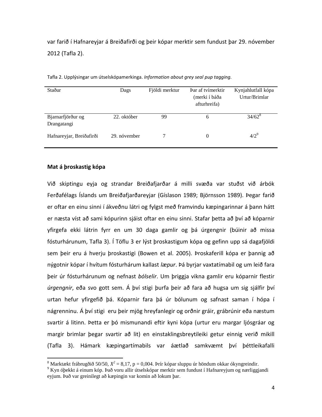var farið í Hafnareyjar á Breiðafirði og þeir kópar merktir sem fundust þar 29. nóvember 2012 (Tafla 2).

| Staður                           | Dags         | Fjöldi merktur | Þar af tvímerktir<br>(merki í báða<br>afturhreifa) | Kynjahlutfall kópa<br>Urtur/Brimlar |
|----------------------------------|--------------|----------------|----------------------------------------------------|-------------------------------------|
| Bjarnarfjörður og<br>Drangatangi | 22. október  | 99             | 6                                                  | $34/62^8$                           |
| Hafnareyjar, Breiðafirði         | 29. nóvember |                | $\theta$                                           | $4/2^{9}$                           |

Tafla 2. Upplýsingar um útselskópamerkinga. *Information about grey seal pup tagging.*

#### **Mat á þroskastig kópa**

Við skiptingu eyja og strandar Breiðafjarðar á milli svæða var stuðst við árbók Ferðafélags Íslands um Breiðafjarðareyjar (Gíslason 1989; Björnsson 1989). Þegar farið er oftar en einu sinni í ákveðnu látri og fylgst með framvindu kæpingarinnar á þann hátt er næsta víst að sami kópurinn sjáist oftar en einu sinni. Stafar þetta að því að kóparnir yfirgefa ekki látrin fyrr en um 30 daga gamlir og þá úrgengnir (búinir að missa fósturhárunum, Tafla 3). Í Töflu 3 er lýst þroskastigum kópa og gefinn upp sá dagafjöldi sem þeir eru á hverju þroskastigi (Bowen et al. 2005). Þroskaferill kópa er þannig að nýgotnir kópar í hvítum fósturhárum kallast *læpur*. Þá byrjar vaxtatímabil og um leið fara þeir úr fósturhárunum og nefnast *bólselir*. Um þriggja vikna gamlir eru kóparnir flestir *úrgengnir*, eða svo gott sem. Á því stigi þurfa þeir að fara að hugsa um sig sjálfir því urtan hefur yfirgefið þá. Kóparnir fara þá úr bólunum og safnast saman í hópa í nágrenninu. Á því stigi eru þeir mjög hreyfanlegir og orðnir gráir, grábrúnir eða næstum svartir á litinn. Þetta er þó mismunandi eftir kyni kópa (urtur eru margar ljósgráar og margir brimlar þegar svartir að lit) en einstaklingsbreytileiki getur einnig verið mikill (Tafla 3). Hámark kæpingartímabils var áætlað samkvæmt því þéttleikafalli

 $\overline{a}$ <sup>8</sup> Marktækt frábrugðið 50/50,  $X^2 = 8,17$ , p = 0,004. Þrír kópar sluppu úr höndum okkar ókyngreindir.

<sup>9</sup> Kyn óþekkt á einum kóp. Það voru allir útselskópar merktir sem fundust í Hafnareyjum og nærliggjandi eyjum. Það var greinilegt að kæpingin var komin að lokum þar.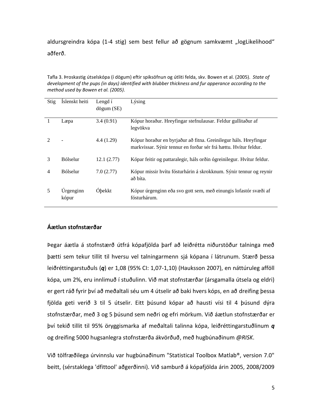aldursgreindra kópa (1-4 stig) sem best fellur að gögnum samkvæmt "logLikelihood" aðferð.

Tafla 3. Þroskastig útselskópa (í dögum) eftir spiksöfnun og útliti felda, skv. Bowen et al. (2005). *State of development of the pups (in days) identified with blubber thickness and fur apperance according to the method used by Bowen et al. (2005).*

| <b>Stig</b> | Islenskt heiti     | Lengd í<br>$d\ddot{\text{o}}$ gum $(SE)$ | Lýsing                                                                                                                               |
|-------------|--------------------|------------------------------------------|--------------------------------------------------------------------------------------------------------------------------------------|
| 1           | Læpa               | 3.4(0.91)                                | Kópur horaður. Hreyfingar stefnulausar. Feldur gullitaður af<br>legvökva                                                             |
|             |                    | 4.4(1.29)                                | Kópur horaður en byrjaður að fitna. Greinilegur háls. Hreyfingar<br>markvissar. Sýnir tennur en forðar sér frá hættu. Hvítur feldur. |
| 3           | Bólselur           | 12.1(2.77)                               | Kópar feitir og pattaralegir, háls orðin ógreinilegur. Hvítur feldur.                                                                |
| 4           | <b>Bólselur</b>    | 7.0(2.77)                                | Kópur missir hvítu fósturhárin á skrokknum. Sýnir tennur og reynir<br>að bíta.                                                       |
|             | Urgenginn<br>kópur | <b>O</b> bekkt                           | Kópur úrgenginn eða svo gott sem, með einungis lofastór svæði af<br>fósturhárum.                                                     |

#### **Áætlun stofnstærðar**

Þegar áætla á stofnstærð útfrá kópafjölda þarf að leiðrétta niðurstöður talninga með þætti sem tekur tillit til hversu vel talningarmenn sjá kópana í látrunum. Stærð þessa leiðréttingarstuðuls (*q*) er 1,08 (95% CI: 1,07-1,10) (Hauksson 2007), en náttúruleg afföll kópa, um 2%, eru innlimuð í stuðulinn. Við mat stofnstærðar (ársgamalla útsela og eldri) er gert ráð fyrir því að meðaltali séu um 4 útselir að baki hvers kóps, en að dreifing þessa fjölda geti verið 3 til 5 útselir. Eitt þúsund kópar að hausti vísi til 4 þúsund dýra stofnstærðar, með 3 og 5 þúsund sem neðri og efri mörkum. Við áætlun stofnstærðar er því tekið tillit til 95% öryggismarka af meðaltali talinna kópa, leiðréttingarstuðlinum *q* og dreifing 5000 hugsanlegra stofnstærða ákvörðuð, með hugbúnaðinum *@RISK*.

Við tölfræðilega úrvinnslu var hugbúnaðinum "Statistical Toolbox Matlab®, version 7.0" beitt, (sérstaklega 'dfittool' aðgerðinni). Við samburð á kópafjölda árin 2005, 2008/2009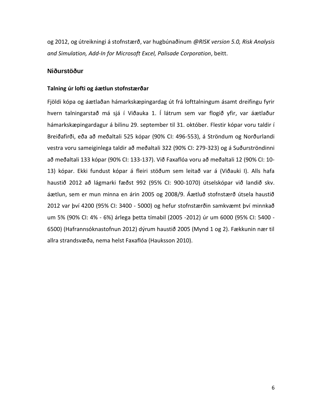og 2012, og útreikningi á stofnstærð, var hugbúnaðinum *@RISK version 5.0, Risk Analysis and Simulation, Add-In for Microsoft Excel, Palisade Corporation*, beitt.

#### **Niðurstöður**

#### **Talning úr lofti og áætlun stofnstærðar**

Fjöldi kópa og áætlaðan hámarkskæpingardag út frá lofttalningum ásamt dreifingu fyrir hvern talningarstað má sjá í Viðauka 1. Í látrum sem var flogið yfir, var áætlaður hámarkskæpingardagur á bilinu 29. september til 31. október. Flestir kópar voru taldir í Breiðafirði, eða að meðaltali 525 kópar (90% CI: 496-553), á Ströndum og Norðurlandi vestra voru sameiginlega taldir að meðaltali 322 (90% CI: 279-323) og á Suðurströndinni að meðaltali 133 kópar (90% CI: 133-137). Við Faxaflóa voru að meðaltali 12 (90% CI: 10- 13) kópar. Ekki fundust kópar á fleiri stöðum sem leitað var á (Viðauki I). Alls hafa haustið 2012 að lágmarki fæðst 992 (95% CI: 900-1070) útselskópar við landið skv. áætlun, sem er mun minna en árin 2005 og 2008/9. Áætluð stofnstærð útsela haustið 2012 var því 4200 (95% CI: 3400 - 5000) og hefur stofnstærðin samkvæmt því minnkað um 5% (90% CI: 4% - 6%) árlega þetta tímabil (2005 -2012) úr um 6000 (95% CI: 5400 - 6500) (Hafrannsóknastofnun 2012) dýrum haustið 2005 (Mynd 1 og 2). Fækkunin nær til allra strandsvæða, nema helst Faxaflóa (Hauksson 2010).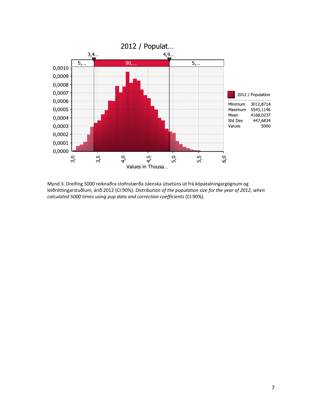

Mynd 3. Dreifing 5000 reiknaðra stofnstærða íslenska útselsins út frá kópatalningargögnum og leiðréttingarstuðlum, árið 2012 (CI:90%). *Distribution of the population size for the year of 2012, when calculated 5000 times using pup data and correction coefficients* (CI:90%)*.*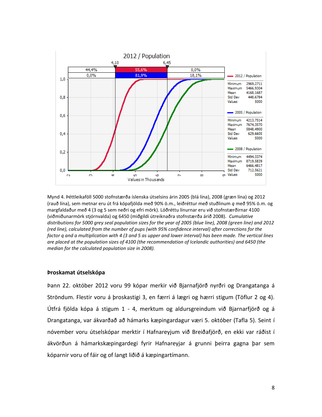

Mynd 4. Þéttleikaföll 5000 stofnstærða íslenska útselsins árin 2005 (blá lína), 2008 (græn lína) og 2012 (rauð lína), sem metnar eru út frá kópafjölda með 90% ö.m., leiðréttur með stuðlinum *q* með 95% ö.m. og margfaldaður með 4 (3 og 5 sem neðri og efri mörk). Lóðréttu línurnar eru við stofnstærðirnar 4100 (viðmiðunarmörk stjórnvalda) og 6450 (miðgildi útreiknaðra stofnstærða árið 2008). *Cumulative distributions for 5000 grey seal population sizes for the year of 2005 (blue line), 2008 (green line) and 2012 (red line), calculated from the number of pups (with 95% confidence interval) after corrections for the factor q and a multiplication with 4 (3 and 5 as upper and lower interval) has been made. The vertical lines are placed at the population sizes of 4100 (the recommendation of Icelandic authorities) and 6450 (the median for the calculated population size in 2008).*

#### **Þroskamat útselskópa**

Þann 22. október 2012 voru 99 kópar merkir við Bjarnafjörð nyrðri og Drangatanga á Ströndum. Flestir voru á þroskastigi 3, en færri á lægri og hærri stigum (Töflur 2 og 4). Útfrá fjölda kópa á stigum 1 - 4, merktum og aldursgreindum við Bjarnarfjörð og á Drangatanga, var ákvarðað að hámarks kæpingardagur væri 5. október (Tafla 5). Seint í nóvember voru útselskópar merktir í Hafnareyjum við Breiðafjörð, en ekki var ráðist í ákvörðun á hámarkskæpingardegi fyrir Hafnareyjar á grunni þeirra gagna þar sem kóparnir voru of fáir og of langt liðið á kæpingartímann.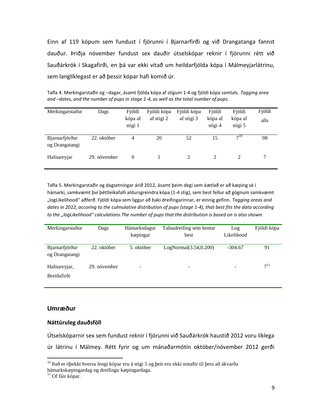Einn af 119 kópum sem fundust í fjörunni í Bjarnarfirði og við Drangatanga fannst dauður. Þriðja nóvember fundust sex dauðir útselskópar reknir í fjörunni rétt við Sauðárkrók í Skagafirði, en þá var ekki vitað um heildarfjölda kópa í Málmeyjarlátrinu, sem langlíklegast er að þessir kópar hafi komið úr.

Tafla 4. Merkingarstaðir og –dagar, ásamt fjölda kópa af stigum 1-4 og fjöldi kópa samtals. *Tagging area and –dates, and the number of pups in stage 1-4, as well as the total number of pups.*

| Merkingarstaður                  | Dags         | Fjöldi<br>kópa af<br>stigi 1 | Fjöldi kópa<br>af stigi 2 | Fjöldi kópa<br>af stigi 3 | Fjöldi<br>kópa af<br>stigi 4 | Fjöldi<br>kópa af<br>stigi 5 | Fjöldi<br>alls |
|----------------------------------|--------------|------------------------------|---------------------------|---------------------------|------------------------------|------------------------------|----------------|
| Bjarnarfjörður<br>og Drangatangi | 22. október  | 4                            | 20                        | 52                        | 15                           | $7^{10}$                     | 98             |
| Hafnareyjar                      | 29. nóvember | $\Omega$                     |                           | 2                         | 2                            | 2                            |                |

Tafla 5. Merkingarstaðir og dagsetningar árið 2012, ásamt þeim degi sem áætlað er að kæping sé í hámarki, samkvæmt því þéttleikafalli aldursgreindra kópa (1-4 stig), sem best fellur að gögnum samkvæmt "logLikelihood" aðferð. Fjöldi kópa sem liggur að baki dreifingarinnar, er einnig gefinn. *Tagging areas and dates in 2012, accoring to the culmulative distribution of pups (stage 1-4), that best fits the data according to the "logLikelihood" calculations.The number of pups that the distribution is based on is also shown.*

| Merkingarstaður                  | Dags         | Hámarksdagur | Talnadreifing sem hentar | Log        | Fjöldi kópa |
|----------------------------------|--------------|--------------|--------------------------|------------|-------------|
|                                  |              | kæpingar     | best                     | Likelihood |             |
| Bjarnarfjörður<br>og Drangatangi | 22. október  | 5. október   | LogNormal(3.54, 0.200)   | $-304.67$  | 91          |
| Hafnareyjar,                     | 29. nóvember | -            | $\overline{\phantom{0}}$ | ۰          | $7^{11}$    |
| Breiðafirði                      |              |              |                          |            |             |

#### **Umræður**

#### **Náttúruleg dauðsföll**

Útselskóparnir sex sem fundust reknir í fjörunni við Sauðárkrók haustið 2012 voru líklega úr látrinu í Málmey. Rétt fyrir og um mánaðarmótin október/nóvember 2012 gerði

 $\overline{a}$ 

 $^{10}$  Það er óþekkt hversu lengi kópar eru á stigi 5 og þeir eru ekki notaðir til þess að ákvarða hámarkskæpingardag og dreifingu kæpingardaga.

 $11$  Of fáir kópar.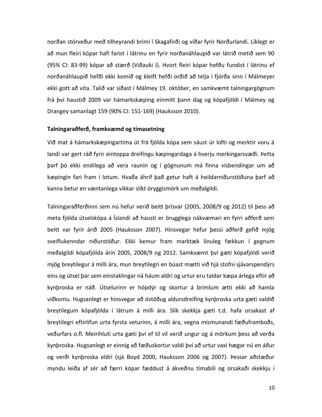norðan stórveður með tilheyrandi brimi í Skagafirði og víðar fyrir Norðurlandi. Líklegt er að mun fleiri kópar hafi farist í látrinu en fyrir norðanáhlaupið var látrið metið sem 90 (95% CI: 83-99) kópar að stærð (Viðauki I). Hvort fleiri kópar hefðu fundist í látrinu ef norðanáhlaupið hefði ekki komið og kleift hefði orðið að telja í fjórða sinn í Málmeyer ekki gott að vita. Talið var síðast í Málmey 19. október, en samkvæmt talningargögnum frá því haustið 2009 var hámarkskæping einmitt þann dag og kópafjöldi í Málmey og Drangey samanlagt 159 (90% CI: 151-169) (Hauksson 2010).

#### **Talningaraðferð, framkvæmd og tímasetning**

Við mat á hámarkskæpingartíma út frá fjölda kópa sem sáust úr lofti og merktir voru á landi var gert ráð fyrir eintoppa dreifingu kæpingardaga á hverju merkingarsvæði. Þetta þarf þó ekki endilega að vera raunin og í gögnunum má finna vísbendingar um að kæpingin fari fram í lotum. Hvaða áhrif það getur haft á heildarniðurstöðuna þarf að kanna betur en væntanlega víkkar slíkt öryggismörk um meðalgildi.

Talningaraðferðinni sem nú hefur verið beitt þrisvar (2005, 2008/9 og 2012) til þess að meta fjölda útselskópa á Íslandi að hausti er örugglega nákvæmari en fyrri aðferð sem beitt var fyrir árið 2005 (Hauksson 2007). Hinsvegar hefur þessi aðferð gefið mjög sveiflukenndar niðurstöður. Ekki kemur fram marktæk línuleg fækkun í gegnum meðalgildi kópafjölda árin 2005, 2008/9 og 2012. Samkvæmt því gæti kópafjöldi verið mjög breytilegur á milli ára, mun breytilegri en búast mætti við hjá stofni sjávarspendýrs eins og útsel þar sem einstaklingar ná háum aldri og urtur eru taldar kæpa árlega eftir að kynþroska er náð. Útselurinn er hópdýr og skortur á brimlum ætti ekki að hamla viðkomu. Hugsanlegt er hinsvegar að óstöðug aldursdreifing kynþroska urta gæti valdið breytilegum kópafjölda í látrum á milli ára. Slík skekkja gæti t.d. hafa orsakast af breytilegri eftirlifun urta fyrsta veturinn, á milli ára, vegna mismunandi fæðuframboðs, veðurfars o.fl. Meirihluti urta gæti því ef til vil verið ungur og á mörkum þess að verða kynþroska. Hugsanlegt er einnig að fæðuskortur valdi því að urtur vaxi hægar nú en áður og verði kynþroska eldri (sjá Boyd 2000, Hauksson 2006 og 2007). Þessar aðstæður myndu leiða af sér að færri kópar fæddust á ákveðnu tímabili og orsakaði skekkju í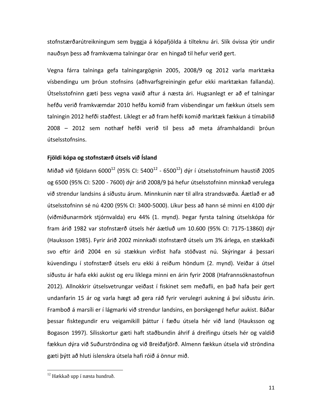stofnstærðarútreikningum sem byggja á kópafjölda á tilteknu ári. Slík óvissa ýtir undir nauðsyn þess að framkvæma talningar örar en hingað til hefur verið gert.

Vegna fárra talninga gefa talningargögnin 2005, 2008/9 og 2012 varla marktæka vísbendingu um þróun stofnsins (aðhvarfsgreiningin gefur ekki marktækan fallanda). Útselsstofninn gæti þess vegna vaxið aftur á næsta ári. Hugsanlegt er að ef talningar hefðu verið framkvæmdar 2010 hefðu komið fram vísbendingar um fækkun útsels sem talningin 2012 hefði staðfest. Líklegt er að fram hefði komið marktæk fækkun á tímabilið 2008 – 2012 sem nothæf hefði verið til þess að meta áframhaldandi þróun útselsstofnsins.

#### **Fjöldi kópa og stofnstærð útsels við Ísland**

Miðað við fjöldann 6000 $^{12}$  (95% CI: 5400 $^{12}$  - 6500 $^{12}$ ) dýr í útselsstofninum haustið 2005 og 6500 (95% CI: 5200 - 7600) dýr árið 2008/9 þá hefur útselsstofninn minnkað verulega við strendur landsins á síðustu árum. Minnkunin nær til allra strandsvæða. Áætlað er að útselsstofninn sé nú 4200 (95% CI: 3400-5000). Líkur þess að hann sé minni en 4100 dýr (viðmiðunarmörk stjórnvalda) eru 44% (1. mynd). Þegar fyrsta talning útselskópa fór fram árið 1982 var stofnstærð útsels hér áætluð um 10.600 (95% CI: 7175-13860) dýr (Hauksson 1985). Fyrir árið 2002 minnkaði stofnstærð útsels um 3% árlega, en stækkaði svo eftir árið 2004 en sú stækkun virðist hafa stöðvast nú. Skýringar á þessari kúvendingu í stofnstærð útsels eru ekki á reiðum höndum (2. mynd). Veiðar á útsel síðustu ár hafa ekki aukist og eru líklega minni en árin fyrir 2008 (Hafrannsóknastofnun 2012). Allnokkrir útselsvetrungar veiðast í fiskinet sem meðafli, en það hafa þeir gert undanfarin 15 ár og varla hægt að gera ráð fyrir verulegri aukning á því síðustu árin. Framboð á marsíli er í lágmarki við strendur landsins, en þorskgengd hefur aukist. Báðar þessar fisktegundir eru veigamikill þáttur í fæðu útsela hér við land (Hauksson og Bogason 1997). Sílisskortur gæti haft staðbundin áhrif á dreifingu útsels hér og valdið fækkun dýra við Suðurströndina og við Breiðafjörð. Almenn fækkun útsela við ströndina gæti þýtt að hluti íslenskra útsela hafi róið á önnur mið.

 $\overline{a}$ 

<sup>12</sup> Hækkað upp í næsta hundruð.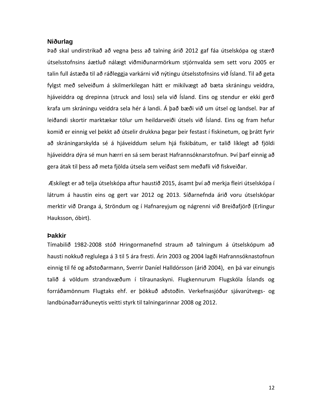#### **Niðurlag**

Það skal undirstrikað að vegna þess að talning árið 2012 gaf fáa útselskópa og stærð útselsstofnsins áætluð nálægt viðmiðunarmörkum stjórnvalda sem sett voru 2005 er talin full ástæða til að ráðleggja varkárni við nýtingu útselsstofnsins við Ísland. Til að geta fylgst með selveiðum á skilmerkilegan hátt er mikilvægt að bæta skráningu veiddra, hjáveiddra og drepinna (struck and loss) sela við Ísland. Eins og stendur er ekki gerð krafa um skráningu veiddra sela hér á landi. Á það bæði við um útsel og landsel. Þar af leiðandi skortir marktækar tölur um heildarveiði útsels við Ísland. Eins og fram hefur komið er einnig vel þekkt að útselir drukkna þegar þeir festast í fiskinetum, og þrátt fyrir að skráningarskylda sé á hjáveiddum selum hjá fiskibátum, er talið líklegt að fjöldi hjáveiddra dýra sé mun hærri en sá sem berast Hafrannsóknarstofnun. Því þarf einnig að gera átak til þess að meta fjölda útsela sem veiðast sem meðafli við fiskveiðar.

Æskilegt er að telja útselskópa aftur haustið 2015, ásamt því að merkja fleiri útselskópa í látrum á haustin eins og gert var 2012 og 2013. Síðarnefnda árið voru útselskópar merktir við Dranga á, Ströndum og í Hafnareyjum og nágrenni við Breiðafjörð (Erlingur Hauksson, óbirt).

#### **Þakkir**

Tímabilið 1982-2008 stóð Hringormanefnd straum að talningum á útselskópum að hausti nokkuð reglulega á 3 til 5 ára fresti. Árin 2003 og 2004 lagði Hafrannsóknastofnun einnig til fé og aðstoðarmann, Sverrir Daníel Halldórsson (árið 2004), en þá var einungis talið á völdum strandsvæðum í tilraunaskyni. Flugkennurum Flugskóla Íslands og forráðamönnum Flugtaks ehf. er þökkuð aðstoðin. Verkefnasjóður sjávarútvegs- og landbúnaðarráðuneytis veitti styrk til talningarinnar 2008 og 2012.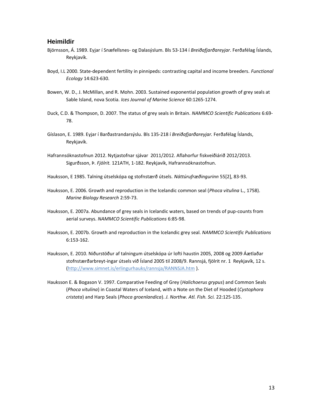#### **Heimildir**

- Björnsson, Á. 1989. Eyjar í Snæfellsnes- og Dalasýslum. Bls 53-134 í *Breiðafjarðareyjar*. Ferðafélag Íslands, Reykjavík.
- Boyd, I.L 2000. State-dependent fertility in pinnipeds: contrasting capital and income breeders. *Functional Ecology* 14:623-630.
- Bowen, W. D., J. McMillan, and R. Mohn. 2003. Sustained exponential population growth of grey seals at Sable Island, nova Scotia. *Ices Journal of Marine Science* 60:1265-1274.
- Duck, C.D. & Thompson, D. 2007. The status of grey seals in Britain. *NAMMCO Scientific Publications* 6:69- 78.
- Gíslason, E. 1989. Eyjar í Barðastrandarsýslu. Bls 135-218 í *Breiðafjarðareyjar.* Ferðafélag Íslands, Reykjavík.
- Hafrannsóknastofnun 2012. Nytjastofnar sjávar 2011/2012. Aflahorfur fiskveiðiárið 2012/2013. Sigurðsson, Þ. *Fjölrit.* 121ATH, 1-182. Reykjavík, Hafrannsóknastofnun.
- Hauksson, E 1985. Talning útselskópa og stofnstærð útsels. *Náttúrufræðingurinn* 55[2], 83-93.
- Hauksson, E. 2006. Growth and reproduction in the Icelandic common seal (*Phoca vitulina* L., 1758). *Marine Biology Research* 2:59-73.
- Hauksson, E. 2007a. Abundance of grey seals in Icelandic waters, based on trends of pup-counts from aerial surveys. *NAMMCO Scientific Publications* 6:85-98.
- Hauksson, E. 2007b. Growth and reproduction in the Icelandic grey seal. *NAMMCO Scientific Publications* 6:153-162.
- Hauksson, E. 2010. Niðurstöður af talningum útselskópa úr lofti haustin 2005, 2008 og 2009 Áætlaðar stofnstærðarbreyt-ingar útsels við Ísland 2005 til 2008/9. Rannsjá, fjölrit nr. 1 Reykjavík, 12 s. [\(http://www.simnet.is/erlingurhauks/rannsja/RANNSJA.htm](http://www.simnet.is/erlingurhauks/rannsja/RANNSJA.htm) ).
- Hauksson E. & Bogason V. 1997. Comparative Feeding of Grey (*Halichoerus grypus*) and Common Seals (*Phoca vitulina*) in Coastal Waters of Iceland, with a Note on the Diet of Hooded (*Cystophora cristata*) and Harp Seals (*Phoca groenlandica*). *J. Northw. Atl. Fish. Sci.* 22:125-135.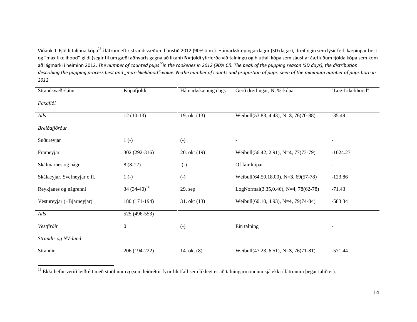Viðauki I. Fjöldi talinna kópa<sup>13</sup> í látrum eftir strandsvæðum haustið 2012 (90% ö.m.). Hámarkskæpingardagur (SD dagar), dreifingin sem lýsir ferli kæpingar best og "max-likelihood"-gildi (segir til um gæði aðhvarfs gagna að líkani) **N**=fjöldi yfirferða við talningu og hlutfall kópa sem sáust af áætluðum fjölda kópa sem kom að lágmarki í heiminn 2012. *The number of counted pups<sup>12</sup>in the rookeries in 2012 (90% CI). The peak of the pupping season (SD days), the distribution describing the pupping process best and "max-likelihood"-value. N=the number of counts and proportion of pups seen of the minimum number of pups born in 2012.*

| Strandsvæði/látur            | Kópafjöldi        | Hámarkskæping dags | Gerð dreifingar, N, %-kópa                   | "Log-Likelihood"         |
|------------------------------|-------------------|--------------------|----------------------------------------------|--------------------------|
| Faxaflói                     |                   |                    |                                              |                          |
| Alls                         | $12(10-13)$       | 19. okt (13)       | Weibull(53.83, 4.43), N=3, 76(70-88)         | $-35.49$                 |
| Breiðafjörður                |                   |                    |                                              |                          |
| Suðureyjar                   | $1(-)$            | $\left( -\right)$  |                                              | $\overline{\phantom{a}}$ |
| Frameyjar                    | 302 (292-316)     | 20. okt (19)       | Weibull(56.42, 2.91), N=4, 77(73-79)         | $-1024.27$               |
| Skálmarnes og nágr.          | $8(8-12)$         | $\left( -\right)$  | Of fáir kópar                                | $\blacksquare$           |
| Skálaeyjar, Svefneyjar o.fl. | $1(-)$            | $(-)$              | Weibull(64.50,18.00), N=3, 69(57-78)         | $-123.86$                |
| Reykjanes og nágrenni        | 34 $(34-40)^{14}$ | 29. sep            | LogNormal $(3.35, 0.46)$ , N=4, 78 $(62-78)$ | $-71.43$                 |
| Vestureyjar (+Bjarneyjar)    | 180 (171-194)     | 31. okt(13)        | Weibull(60.10, 4.93), N=4, 79(74-84)         | $-583.34$                |
| Alls                         | 525 (496-553)     |                    |                                              |                          |
| Vestfirðir                   | $\overline{0}$    | $(-)$              | Ein talning                                  | $\overline{\phantom{a}}$ |
| Strandir og NV-land          |                   |                    |                                              |                          |
| Strandir                     | 206 (194-222)     | 14. okt (8)        | Weibull(47.23, 6.51), N=3, 76(71-81)         | $-571.44$                |

<sup>13</sup> Ekki hefur verið leiðrétt með stuðlinum *q* (sem leiðréttir fyrir hlutfall sem líklegt er að talningarmönnum sjá ekki í látrunum þegar talið er).

 $\overline{a}$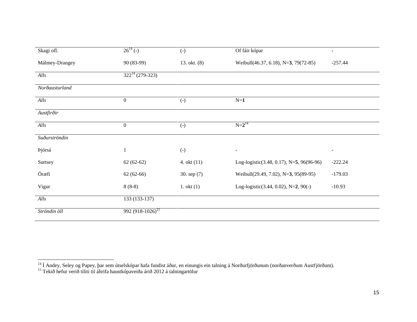| Skagi ofl.      | $26^{14}$ (-)                | $(-)$             | Of fáir kópar                            | $\overline{\phantom{a}}$ |
|-----------------|------------------------------|-------------------|------------------------------------------|--------------------------|
| Málmey-Drangey  | 90 (83-99)                   | 13. okt. (8)      | Weibull(46.37, 6.18), N=3, 79(72-85)     | $-257.44$                |
| Alls            | $322^{14} (279 - 323)$       |                   |                                          |                          |
| Norðausturland  |                              |                   |                                          |                          |
| Alls            | $\boldsymbol{0}$             | $\left( -\right)$ | $N=1$                                    |                          |
| Austfirðir      |                              |                   |                                          |                          |
| $\mathit{Alls}$ | $\boldsymbol{0}$             | $\left( -\right)$ | $N=2^{14}$                               |                          |
| Suðurströndin   |                              |                   |                                          |                          |
| Þjórsá          | 1                            | $\left( -\right)$ | $\overline{\phantom{a}}$                 | $\blacksquare$           |
| Surtsey         | $62(62-62)$                  | 4. okt $(11)$     | Log-logistic(3.48, 0.17), N=5, 96(96-96) | $-222.24$                |
| Öræfi           | $62(62-66)$                  | 30. sep (7)       | Weibull(29.49, 7.02), N=3, 95(89-95)     | $-179.03$                |
| Vigur           | $8(8-8)$                     | $1.$ okt $(1)$    | Log-logistic(3.44, 0.02), N=2, 90(-)     | $-10.93$                 |
| Alls            | 133 (133-137)                |                   |                                          |                          |
| Ströndin öll    | 992 (918-1026) <sup>15</sup> |                   |                                          |                          |

 $\overline{\phantom{a}}$ 

<sup>&</sup>lt;sup>14</sup> Í Andey, Seley og Papey, þar sem útselskópar hafa fundist áður, en einungis ein talning á Norðurfjörðunum (norðanverðum Austfjörðum).

<sup>&</sup>lt;sup>15</sup> Tekið hefur verið tiliti til áhrifa haustkópaveiða árið 2012 á talningartölur